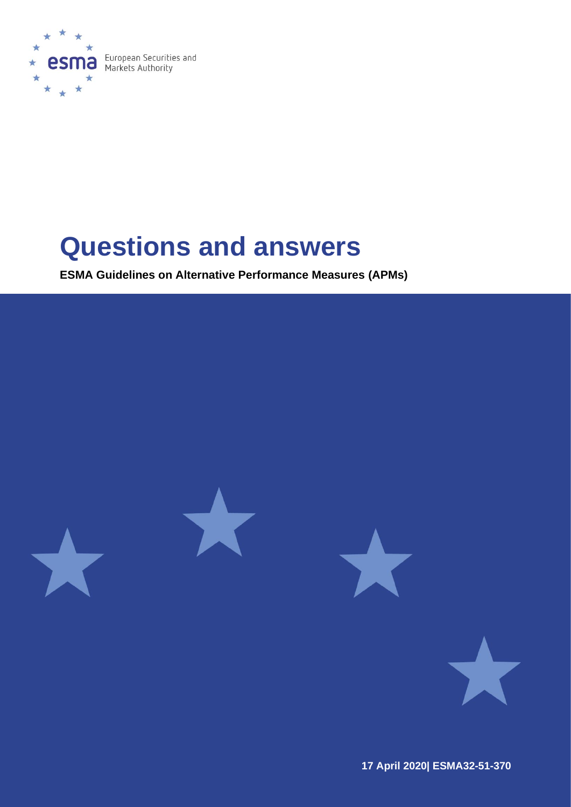

# **Questions and answers**

**ESMA Guidelines on Alternative Performance Measures (APMs)**



**17 April 2020| ESMA32-51-370**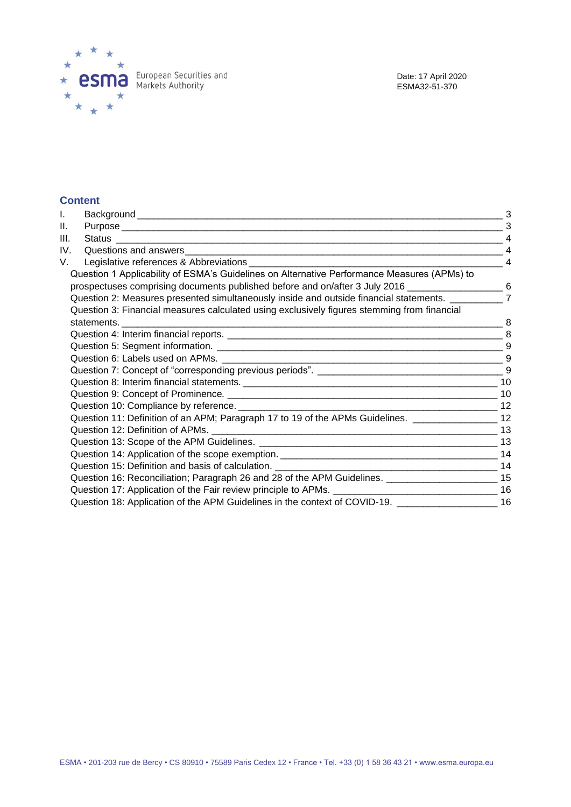

### **Content**

| I.   |                                                                                                        |                |
|------|--------------------------------------------------------------------------------------------------------|----------------|
| II.  |                                                                                                        | 3              |
| III. |                                                                                                        |                |
| IV.  |                                                                                                        | $\overline{4}$ |
| V.   |                                                                                                        | $\overline{4}$ |
|      | Question 1 Applicability of ESMA's Guidelines on Alternative Performance Measures (APMs) to            |                |
|      | prospectuses comprising documents published before and on/after 3 July 2016 _______________________ 6  |                |
|      | Question 2: Measures presented simultaneously inside and outside financial statements. ___________     | $\overline{7}$ |
|      | Question 3: Financial measures calculated using exclusively figures stemming from financial            |                |
|      |                                                                                                        |                |
|      |                                                                                                        |                |
|      |                                                                                                        |                |
|      |                                                                                                        |                |
|      |                                                                                                        |                |
|      |                                                                                                        |                |
|      |                                                                                                        |                |
|      |                                                                                                        |                |
|      | Question 11: Definition of an APM; Paragraph 17 to 19 of the APMs Guidelines. __________________ 12    |                |
|      |                                                                                                        |                |
|      |                                                                                                        |                |
|      |                                                                                                        |                |
|      |                                                                                                        |                |
|      | Question 16: Reconciliation; Paragraph 26 and 28 of the APM Guidelines. ___________________________ 15 |                |
|      |                                                                                                        |                |
|      | Question 18: Application of the APM Guidelines in the context of COVID-19. ______________________ 16   |                |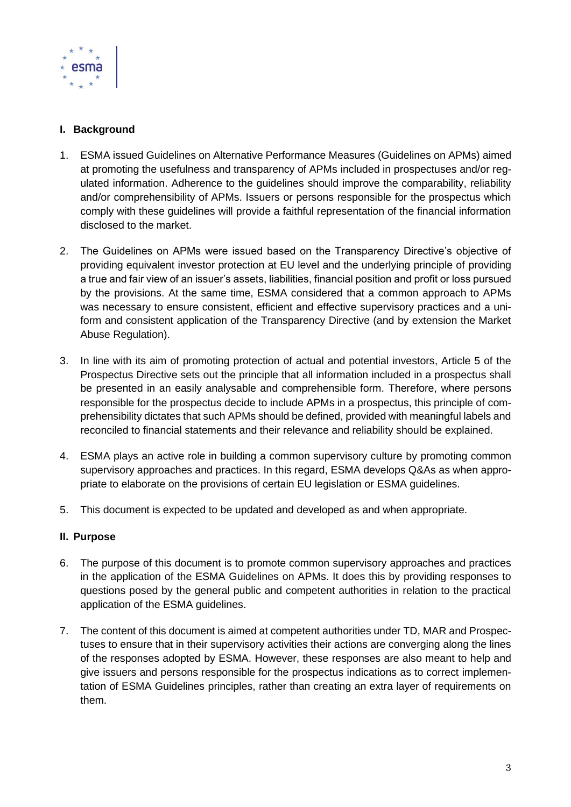

## <span id="page-2-0"></span>**I. Background**

- 1. ESMA issued Guidelines on Alternative Performance Measures (Guidelines on APMs) aimed at promoting the usefulness and transparency of APMs included in prospectuses and/or regulated information. Adherence to the guidelines should improve the comparability, reliability and/or comprehensibility of APMs. Issuers or persons responsible for the prospectus which comply with these guidelines will provide a faithful representation of the financial information disclosed to the market.
- 2. The Guidelines on APMs were issued based on the Transparency Directive's objective of providing equivalent investor protection at EU level and the underlying principle of providing a true and fair view of an issuer's assets, liabilities, financial position and profit or loss pursued by the provisions. At the same time, ESMA considered that a common approach to APMs was necessary to ensure consistent, efficient and effective supervisory practices and a uniform and consistent application of the Transparency Directive (and by extension the Market Abuse Regulation).
- 3. In line with its aim of promoting protection of actual and potential investors, Article 5 of the Prospectus Directive sets out the principle that all information included in a prospectus shall be presented in an easily analysable and comprehensible form. Therefore, where persons responsible for the prospectus decide to include APMs in a prospectus, this principle of comprehensibility dictates that such APMs should be defined, provided with meaningful labels and reconciled to financial statements and their relevance and reliability should be explained.
- 4. ESMA plays an active role in building a common supervisory culture by promoting common supervisory approaches and practices. In this regard, ESMA develops Q&As as when appropriate to elaborate on the provisions of certain EU legislation or ESMA guidelines.
- 5. This document is expected to be updated and developed as and when appropriate.

## <span id="page-2-1"></span>**II. Purpose**

- 6. The purpose of this document is to promote common supervisory approaches and practices in the application of the ESMA Guidelines on APMs. It does this by providing responses to questions posed by the general public and competent authorities in relation to the practical application of the ESMA guidelines.
- 7. The content of this document is aimed at competent authorities under TD, MAR and Prospectuses to ensure that in their supervisory activities their actions are converging along the lines of the responses adopted by ESMA. However, these responses are also meant to help and give issuers and persons responsible for the prospectus indications as to correct implementation of ESMA Guidelines principles, rather than creating an extra layer of requirements on them.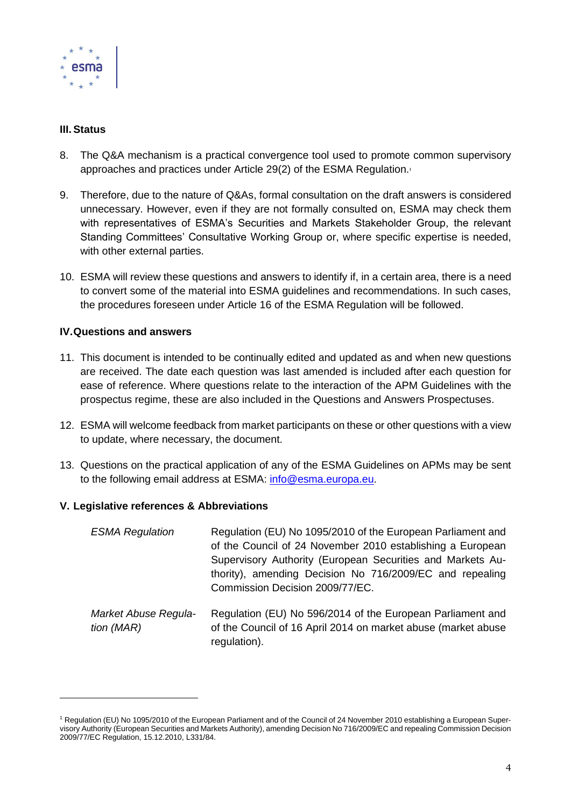

## <span id="page-3-0"></span>**III. Status**

- 8. The Q&A mechanism is a practical convergence tool used to promote common supervisory approaches and practices under Article 29(2) of the ESMA Regulation.<sup>1</sup>
- 9. Therefore, due to the nature of Q&As, formal consultation on the draft answers is considered unnecessary. However, even if they are not formally consulted on, ESMA may check them with representatives of ESMA's Securities and Markets Stakeholder Group, the relevant Standing Committees' Consultative Working Group or, where specific expertise is needed, with other external parties.
- 10. ESMA will review these questions and answers to identify if, in a certain area, there is a need to convert some of the material into ESMA guidelines and recommendations. In such cases, the procedures foreseen under Article 16 of the ESMA Regulation will be followed.

## <span id="page-3-1"></span>**IV.Questions and answers**

- 11. This document is intended to be continually edited and updated as and when new questions are received. The date each question was last amended is included after each question for ease of reference. Where questions relate to the interaction of the APM Guidelines with the prospectus regime, these are also included in the Questions and Answers Prospectuses.
- 12. ESMA will welcome feedback from market participants on these or other questions with a view to update, where necessary, the document.
- 13. Questions on the practical application of any of the ESMA Guidelines on APMs may be sent to the following email address at ESMA: [info@esma.europa.eu.](mailto:info@esma.europa.eu)

### <span id="page-3-2"></span>**V. Legislative references & Abbreviations**

| <b>ESMA Regulation</b>             | Regulation (EU) No 1095/2010 of the European Parliament and<br>of the Council of 24 November 2010 establishing a European<br>Supervisory Authority (European Securities and Markets Au-<br>thority), amending Decision No 716/2009/EC and repealing<br>Commission Decision 2009/77/EC. |
|------------------------------------|----------------------------------------------------------------------------------------------------------------------------------------------------------------------------------------------------------------------------------------------------------------------------------------|
| Market Abuse Regula-<br>tion (MAR) | Regulation (EU) No 596/2014 of the European Parliament and<br>of the Council of 16 April 2014 on market abuse (market abuse<br>regulation).                                                                                                                                            |

<sup>1</sup> Regulation (EU) No 1095/2010 of the European Parliament and of the Council of 24 November 2010 establishing a European Supervisory Authority (European Securities and Markets Authority), amending Decision No 716/2009/EC and repealing Commission Decision 2009/77/EC Regulation, 15.12.2010, L331/84.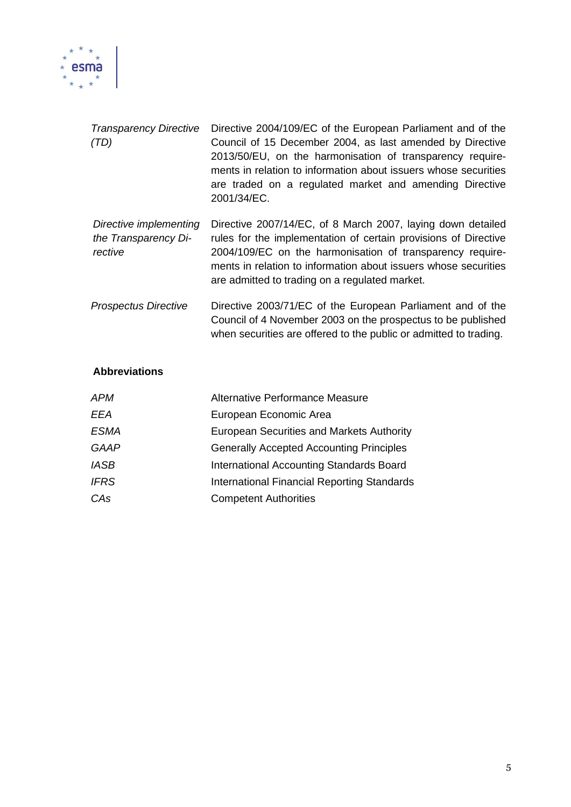

| <b>Transparency Directive</b><br>(TD)                     | Directive 2004/109/EC of the European Parliament and of the<br>Council of 15 December 2004, as last amended by Directive<br>2013/50/EU, on the harmonisation of transparency require-<br>ments in relation to information about issuers whose securities<br>are traded on a regulated market and amending Directive<br>2001/34/EC. |
|-----------------------------------------------------------|------------------------------------------------------------------------------------------------------------------------------------------------------------------------------------------------------------------------------------------------------------------------------------------------------------------------------------|
| Directive implementing<br>the Transparency Di-<br>rective | Directive 2007/14/EC, of 8 March 2007, laying down detailed<br>rules for the implementation of certain provisions of Directive<br>2004/109/EC on the harmonisation of transparency require-<br>ments in relation to information about issuers whose securities<br>are admitted to trading on a regulated market.                   |
| <b>Prospectus Directive</b>                               | Directive 2003/71/EC of the European Parliament and of the<br>Council of 4 November 2003 on the prospectus to be published                                                                                                                                                                                                         |

when securities are offered to the public or admitted to trading.

## **Abbreviations**

| APM         | Alternative Performance Measure                  |
|-------------|--------------------------------------------------|
| <b>EEA</b>  | European Economic Area                           |
| <b>ESMA</b> | <b>European Securities and Markets Authority</b> |
| <b>GAAP</b> | <b>Generally Accepted Accounting Principles</b>  |
| <b>IASB</b> | International Accounting Standards Board         |
| <b>IFRS</b> | International Financial Reporting Standards      |
| CAs         | <b>Competent Authorities</b>                     |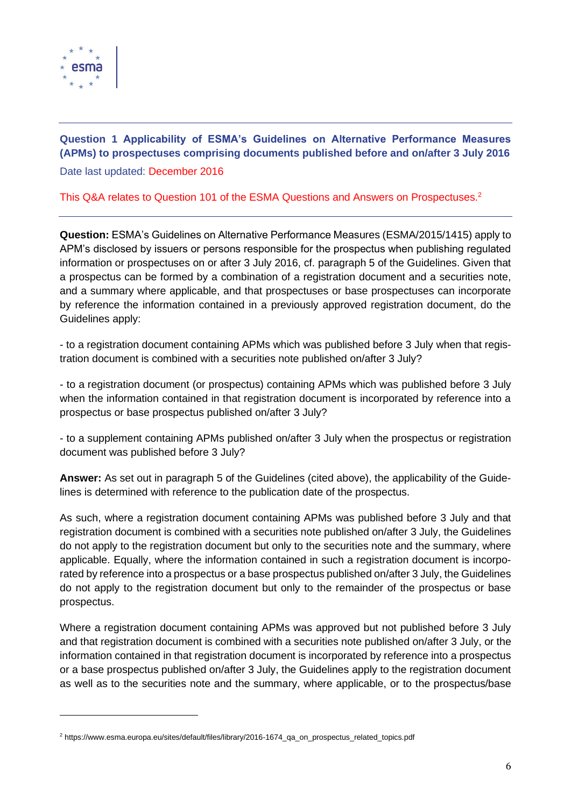

## <span id="page-5-0"></span>**Question 1 Applicability of ESMA's Guidelines on Alternative Performance Measures (APMs) to prospectuses comprising documents published before and on/after 3 July 2016** Date last updated: December 2016

## This Q&A relates to Question 101 of the ESMA Questions and Answers on Prospectuses. 2

**Question:** ESMA's Guidelines on Alternative Performance Measures (ESMA/2015/1415) apply to APM's disclosed by issuers or persons responsible for the prospectus when publishing regulated information or prospectuses on or after 3 July 2016, cf. paragraph 5 of the Guidelines. Given that a prospectus can be formed by a combination of a registration document and a securities note, and a summary where applicable, and that prospectuses or base prospectuses can incorporate by reference the information contained in a previously approved registration document, do the Guidelines apply:

- to a registration document containing APMs which was published before 3 July when that registration document is combined with a securities note published on/after 3 July?

- to a registration document (or prospectus) containing APMs which was published before 3 July when the information contained in that registration document is incorporated by reference into a prospectus or base prospectus published on/after 3 July?

- to a supplement containing APMs published on/after 3 July when the prospectus or registration document was published before 3 July?

**Answer:** As set out in paragraph 5 of the Guidelines (cited above), the applicability of the Guidelines is determined with reference to the publication date of the prospectus.

As such, where a registration document containing APMs was published before 3 July and that registration document is combined with a securities note published on/after 3 July, the Guidelines do not apply to the registration document but only to the securities note and the summary, where applicable. Equally, where the information contained in such a registration document is incorporated by reference into a prospectus or a base prospectus published on/after 3 July, the Guidelines do not apply to the registration document but only to the remainder of the prospectus or base prospectus.

Where a registration document containing APMs was approved but not published before 3 July and that registration document is combined with a securities note published on/after 3 July, or the information contained in that registration document is incorporated by reference into a prospectus or a base prospectus published on/after 3 July, the Guidelines apply to the registration document as well as to the securities note and the summary, where applicable, or to the prospectus/base

<sup>2</sup> https://www.esma.europa.eu/sites/default/files/library/2016-1674\_qa\_on\_prospectus\_related\_topics.pdf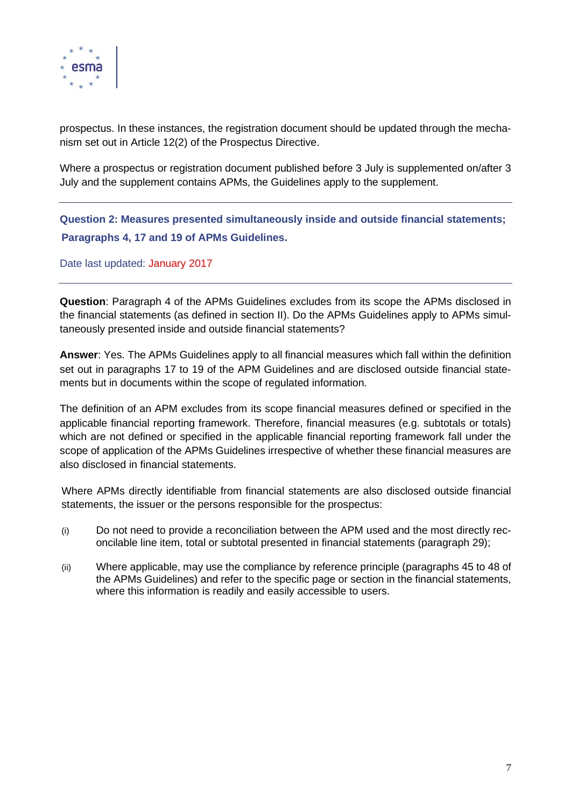

prospectus. In these instances, the registration document should be updated through the mechanism set out in Article 12(2) of the Prospectus Directive.

Where a prospectus or registration document published before 3 July is supplemented on/after 3 July and the supplement contains APMs, the Guidelines apply to the supplement.

<span id="page-6-0"></span>**Question 2: Measures presented simultaneously inside and outside financial statements; Paragraphs 4, 17 and 19 of APMs Guidelines.**

Date last updated: January 2017

**Question**: Paragraph 4 of the APMs Guidelines excludes from its scope the APMs disclosed in the financial statements (as defined in section II). Do the APMs Guidelines apply to APMs simultaneously presented inside and outside financial statements?

**Answer**: Yes. The APMs Guidelines apply to all financial measures which fall within the definition set out in paragraphs 17 to 19 of the APM Guidelines and are disclosed outside financial statements but in documents within the scope of regulated information.

The definition of an APM excludes from its scope financial measures defined or specified in the applicable financial reporting framework. Therefore, financial measures (e.g. subtotals or totals) which are not defined or specified in the applicable financial reporting framework fall under the scope of application of the APMs Guidelines irrespective of whether these financial measures are also disclosed in financial statements.

Where APMs directly identifiable from financial statements are also disclosed outside financial statements, the issuer or the persons responsible for the prospectus:

- (i) Do not need to provide a reconciliation between the APM used and the most directly reconcilable line item, total or subtotal presented in financial statements (paragraph 29);
- (ii) Where applicable, may use the compliance by reference principle (paragraphs 45 to 48 of the APMs Guidelines) and refer to the specific page or section in the financial statements, where this information is readily and easily accessible to users.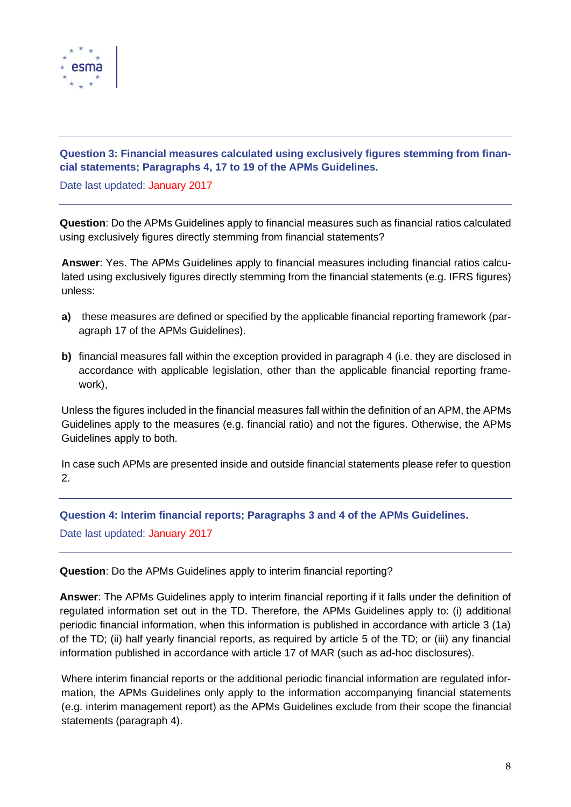

## <span id="page-7-0"></span>**Question 3: Financial measures calculated using exclusively figures stemming from financial statements; Paragraphs 4, 17 to 19 of the APMs Guidelines.**

Date last updated: January 2017

**Question**: Do the APMs Guidelines apply to financial measures such as financial ratios calculated using exclusively figures directly stemming from financial statements?

**Answer**: Yes. The APMs Guidelines apply to financial measures including financial ratios calculated using exclusively figures directly stemming from the financial statements (e.g. IFRS figures) unless:

- **a)** these measures are defined or specified by the applicable financial reporting framework (paragraph 17 of the APMs Guidelines).
- **b)** financial measures fall within the exception provided in paragraph 4 (i.e. they are disclosed in accordance with applicable legislation, other than the applicable financial reporting framework),

Unless the figures included in the financial measures fall within the definition of an APM, the APMs Guidelines apply to the measures (e.g. financial ratio) and not the figures. Otherwise, the APMs Guidelines apply to both.

In case such APMs are presented inside and outside financial statements please refer to question 2.

<span id="page-7-1"></span>**Question 4: Interim financial reports; Paragraphs 3 and 4 of the APMs Guidelines.**

Date last updated: January 2017

**Question**: Do the APMs Guidelines apply to interim financial reporting?

**Answer**: The APMs Guidelines apply to interim financial reporting if it falls under the definition of regulated information set out in the TD. Therefore, the APMs Guidelines apply to: (i) additional periodic financial information, when this information is published in accordance with article 3 (1a) of the TD; (ii) half yearly financial reports, as required by article 5 of the TD; or (iii) any financial information published in accordance with article 17 of MAR (such as ad-hoc disclosures).

Where interim financial reports or the additional periodic financial information are regulated information, the APMs Guidelines only apply to the information accompanying financial statements (e.g. interim management report) as the APMs Guidelines exclude from their scope the financial statements (paragraph 4).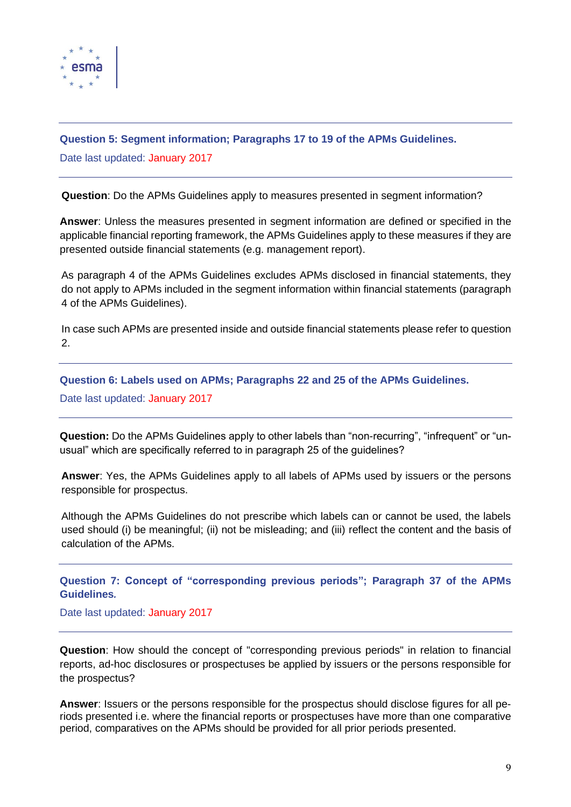

## <span id="page-8-0"></span>**Question 5: Segment information; Paragraphs 17 to 19 of the APMs Guidelines.**

Date last updated: January 2017

**Question**: Do the APMs Guidelines apply to measures presented in segment information?

**Answer**: Unless the measures presented in segment information are defined or specified in the applicable financial reporting framework, the APMs Guidelines apply to these measures if they are presented outside financial statements (e.g. management report).

As paragraph 4 of the APMs Guidelines excludes APMs disclosed in financial statements, they do not apply to APMs included in the segment information within financial statements (paragraph 4 of the APMs Guidelines).

In case such APMs are presented inside and outside financial statements please refer to question 2.

<span id="page-8-1"></span>**Question 6: Labels used on APMs; Paragraphs 22 and 25 of the APMs Guidelines.**

Date last updated: January 2017

**Question:** Do the APMs Guidelines apply to other labels than "non-recurring", "infrequent" or "unusual" which are specifically referred to in paragraph 25 of the guidelines?

**Answer**: Yes, the APMs Guidelines apply to all labels of APMs used by issuers or the persons responsible for prospectus.

Although the APMs Guidelines do not prescribe which labels can or cannot be used, the labels used should (i) be meaningful; (ii) not be misleading; and (iii) reflect the content and the basis of calculation of the APMs.

<span id="page-8-2"></span>**Question 7: Concept of "corresponding previous periods"; Paragraph 37 of the APMs Guidelines***.*

### Date last updated: January 2017

**Question**: How should the concept of "corresponding previous periods" in relation to financial reports, ad-hoc disclosures or prospectuses be applied by issuers or the persons responsible for the prospectus?

**Answer**: Issuers or the persons responsible for the prospectus should disclose figures for all periods presented i.e. where the financial reports or prospectuses have more than one comparative period, comparatives on the APMs should be provided for all prior periods presented.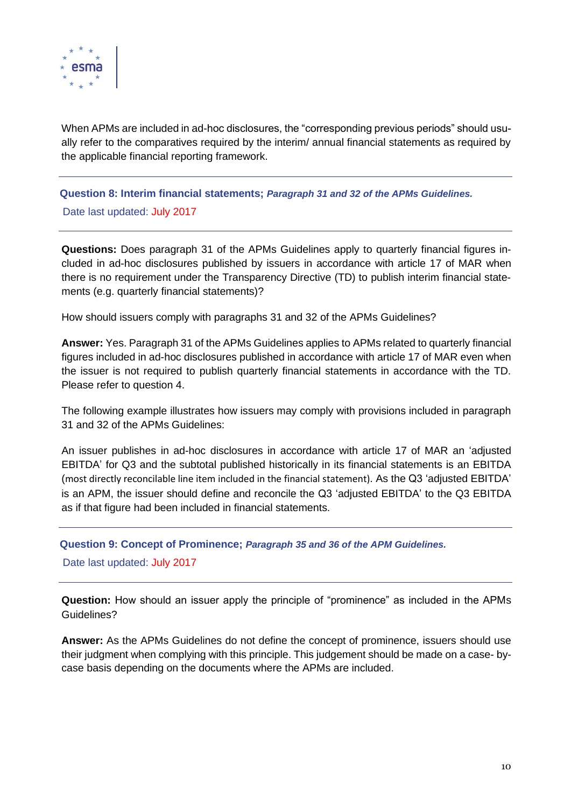

When APMs are included in ad-hoc disclosures, the "corresponding previous periods" should usually refer to the comparatives required by the interim/ annual financial statements as required by the applicable financial reporting framework.

<span id="page-9-0"></span>**Question 8: Interim financial statements;** *Paragraph 31 and 32 of the APMs Guidelines.*

Date last updated: July 2017

**Questions:** Does paragraph 31 of the APMs Guidelines apply to quarterly financial figures included in ad-hoc disclosures published by issuers in accordance with article 17 of MAR when there is no requirement under the Transparency Directive (TD) to publish interim financial statements (e.g. quarterly financial statements)?

How should issuers comply with paragraphs 31 and 32 of the APMs Guidelines?

**Answer:** Yes. Paragraph 31 of the APMs Guidelines applies to APMs related to quarterly financial figures included in ad-hoc disclosures published in accordance with article 17 of MAR even when the issuer is not required to publish quarterly financial statements in accordance with the TD. Please refer to question 4.

The following example illustrates how issuers may comply with provisions included in paragraph 31 and 32 of the APMs Guidelines:

An issuer publishes in ad-hoc disclosures in accordance with article 17 of MAR an 'adjusted EBITDA' for Q3 and the subtotal published historically in its financial statements is an EBITDA (most directly reconcilable line item included in the financial statement). As the Q3 'adjusted EBITDA' is an APM, the issuer should define and reconcile the Q3 'adjusted EBITDA' to the Q3 EBITDA as if that figure had been included in financial statements.

<span id="page-9-1"></span>**Question 9: Concept of Prominence;** *Paragraph 35 and 36 of the APM Guidelines.*

Date last updated: July 2017

**Question:** How should an issuer apply the principle of "prominence" as included in the APMs Guidelines?

**Answer:** As the APMs Guidelines do not define the concept of prominence, issuers should use their judgment when complying with this principle. This judgement should be made on a case- bycase basis depending on the documents where the APMs are included.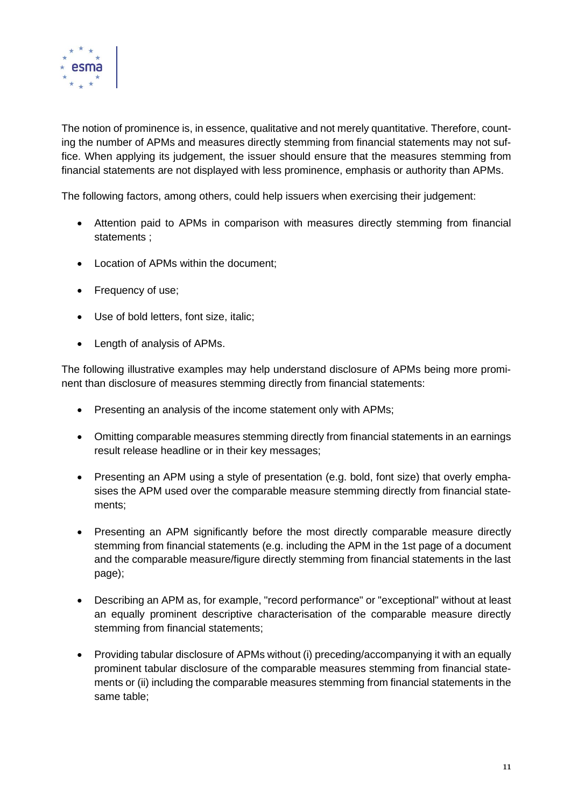

The notion of prominence is, in essence, qualitative and not merely quantitative. Therefore, counting the number of APMs and measures directly stemming from financial statements may not suffice. When applying its judgement, the issuer should ensure that the measures stemming from financial statements are not displayed with less prominence, emphasis or authority than APMs.

The following factors, among others, could help issuers when exercising their judgement:

- Attention paid to APMs in comparison with measures directly stemming from financial statements ;
- Location of APMs within the document;
- Frequency of use;
- Use of bold letters, font size, italic;
- Length of analysis of APMs.

The following illustrative examples may help understand disclosure of APMs being more prominent than disclosure of measures stemming directly from financial statements:

- Presenting an analysis of the income statement only with APMs;
- Omitting comparable measures stemming directly from financial statements in an earnings result release headline or in their key messages;
- Presenting an APM using a style of presentation (e.g. bold, font size) that overly emphasises the APM used over the comparable measure stemming directly from financial statements;
- Presenting an APM significantly before the most directly comparable measure directly stemming from financial statements (e.g. including the APM in the 1st page of a document and the comparable measure/figure directly stemming from financial statements in the last page);
- Describing an APM as, for example, "record performance" or "exceptional" without at least an equally prominent descriptive characterisation of the comparable measure directly stemming from financial statements;
- Providing tabular disclosure of APMs without (i) preceding/accompanying it with an equally prominent tabular disclosure of the comparable measures stemming from financial statements or (ii) including the comparable measures stemming from financial statements in the same table;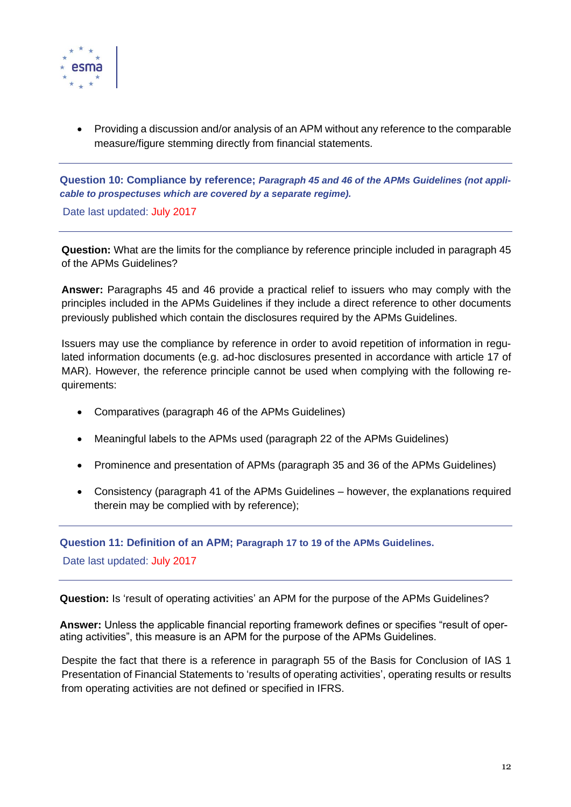

• Providing a discussion and/or analysis of an APM without any reference to the comparable measure/figure stemming directly from financial statements.

<span id="page-11-0"></span>**Question 10: Compliance by reference;** *Paragraph 45 and 46 of the APMs Guidelines (not applicable to prospectuses which are covered by a separate regime).*

Date last updated: July 2017

**Question:** What are the limits for the compliance by reference principle included in paragraph 45 of the APMs Guidelines?

**Answer:** Paragraphs 45 and 46 provide a practical relief to issuers who may comply with the principles included in the APMs Guidelines if they include a direct reference to other documents previously published which contain the disclosures required by the APMs Guidelines.

Issuers may use the compliance by reference in order to avoid repetition of information in regulated information documents (e.g. ad-hoc disclosures presented in accordance with article 17 of MAR). However, the reference principle cannot be used when complying with the following requirements:

- Comparatives (paragraph 46 of the APMs Guidelines)
- Meaningful labels to the APMs used (paragraph 22 of the APMs Guidelines)
- Prominence and presentation of APMs (paragraph 35 and 36 of the APMs Guidelines)
- Consistency (paragraph 41 of the APMs Guidelines however, the explanations required therein may be complied with by reference);

<span id="page-11-1"></span>**Question 11: Definition of an APM; Paragraph 17 to 19 of the APMs Guidelines.**

Date last updated: July 2017

**Question:** Is 'result of operating activities' an APM for the purpose of the APMs Guidelines?

**Answer:** Unless the applicable financial reporting framework defines or specifies "result of operating activities", this measure is an APM for the purpose of the APMs Guidelines.

Despite the fact that there is a reference in paragraph 55 of the Basis for Conclusion of IAS 1 Presentation of Financial Statements to 'results of operating activities', operating results or results from operating activities are not defined or specified in IFRS.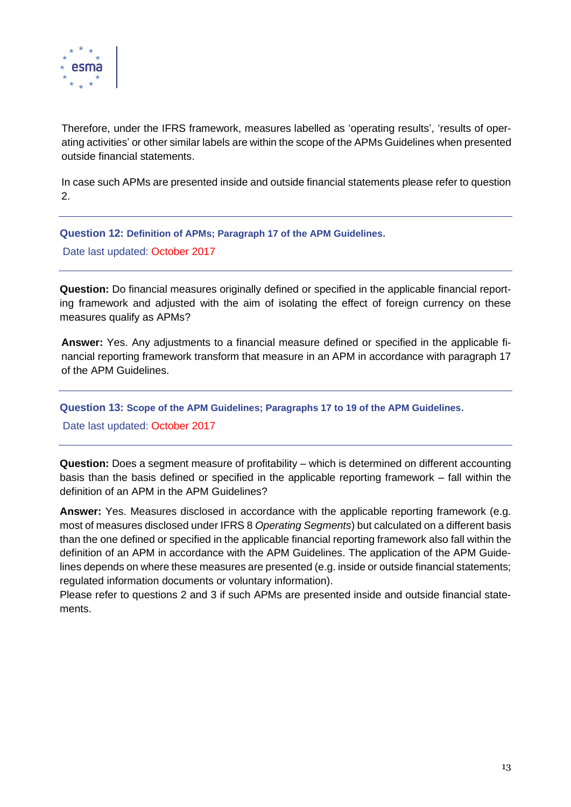

Therefore, under the IFRS framework, measures labelled as 'operating results', 'results of operating activities' or other similar labels are within the scope of the APMs Guidelines when presented outside financial statements.

In case such APMs are presented inside and outside financial statements please refer to question 2.

<span id="page-12-0"></span>**Question 12: Definition of APMs; Paragraph 17 of the APM Guidelines.** Date last updated: October 2017

**Question:** Do financial measures originally defined or specified in the applicable financial reporting framework and adjusted with the aim of isolating the effect of foreign currency on these measures qualify as APMs?

**Answer:** Yes. Any adjustments to a financial measure defined or specified in the applicable financial reporting framework transform that measure in an APM in accordance with paragraph 17 of the APM Guidelines.

<span id="page-12-1"></span>**Question 13: Scope of the APM Guidelines; Paragraphs 17 to 19 of the APM Guidelines.**

Date last updated: October 2017

**Question:** Does a segment measure of profitability – which is determined on different accounting basis than the basis defined or specified in the applicable reporting framework – fall within the definition of an APM in the APM Guidelines?

**Answer:** Yes. Measures disclosed in accordance with the applicable reporting framework (e.g. most of measures disclosed under IFRS 8 *Operating Segments*) but calculated on a different basis than the one defined or specified in the applicable financial reporting framework also fall within the definition of an APM in accordance with the APM Guidelines. The application of the APM Guidelines depends on where these measures are presented (e.g. inside or outside financial statements; regulated information documents or voluntary information).

Please refer to questions 2 and 3 if such APMs are presented inside and outside financial statements.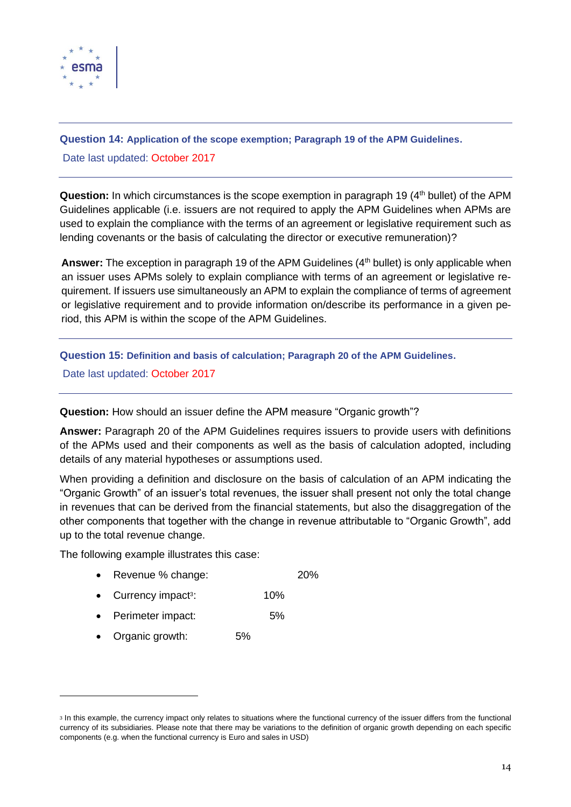

<span id="page-13-0"></span>**Question 14: Application of the scope exemption; Paragraph 19 of the APM Guidelines.** Date last updated: October 2017

**Question:** In which circumstances is the scope exemption in paragraph 19 (4<sup>th</sup> bullet) of the APM Guidelines applicable (i.e. issuers are not required to apply the APM Guidelines when APMs are used to explain the compliance with the terms of an agreement or legislative requirement such as lending covenants or the basis of calculating the director or executive remuneration)?

**Answer:** The exception in paragraph 19 of the APM Guidelines (4<sup>th</sup> bullet) is only applicable when an issuer uses APMs solely to explain compliance with terms of an agreement or legislative requirement. If issuers use simultaneously an APM to explain the compliance of terms of agreement or legislative requirement and to provide information on/describe its performance in a given period, this APM is within the scope of the APM Guidelines.

<span id="page-13-1"></span>**Question 15: Definition and basis of calculation; Paragraph 20 of the APM Guidelines.**

Date last updated: October 2017

**Question:** How should an issuer define the APM measure "Organic growth"?

**Answer:** Paragraph 20 of the APM Guidelines requires issuers to provide users with definitions of the APMs used and their components as well as the basis of calculation adopted, including details of any material hypotheses or assumptions used.

When providing a definition and disclosure on the basis of calculation of an APM indicating the "Organic Growth" of an issuer's total revenues, the issuer shall present not only the total change in revenues that can be derived from the financial statements, but also the disaggregation of the other components that together with the change in revenue attributable to "Organic Growth", add up to the total revenue change.

The following example illustrates this case:

- Revenue % change: 20%
- Currency impact<sup>3</sup>: : 10%
- Perimeter impact: 5%
- Organic growth: 5%

<sup>3</sup> In this example, the currency impact only relates to situations where the functional currency of the issuer differs from the functional currency of its subsidiaries. Please note that there may be variations to the definition of organic growth depending on each specific components (e.g. when the functional currency is Euro and sales in USD)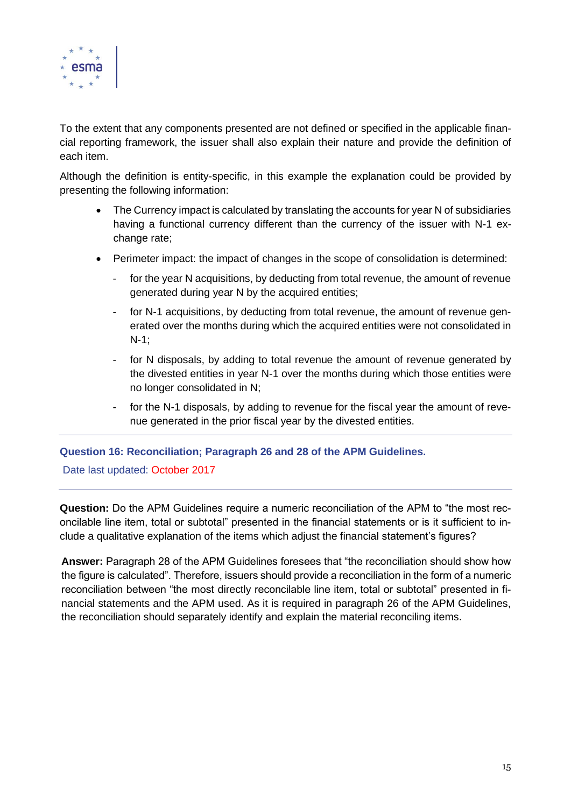

To the extent that any components presented are not defined or specified in the applicable financial reporting framework, the issuer shall also explain their nature and provide the definition of each item.

Although the definition is entity-specific, in this example the explanation could be provided by presenting the following information:

- The Currency impact is calculated by translating the accounts for year N of subsidiaries having a functional currency different than the currency of the issuer with N-1 exchange rate;
- Perimeter impact: the impact of changes in the scope of consolidation is determined:
	- for the year N acquisitions, by deducting from total revenue, the amount of revenue generated during year N by the acquired entities;
	- for N-1 acquisitions, by deducting from total revenue, the amount of revenue generated over the months during which the acquired entities were not consolidated in N-1;
	- for N disposals, by adding to total revenue the amount of revenue generated by the divested entities in year N-1 over the months during which those entities were no longer consolidated in N;
	- for the N-1 disposals, by adding to revenue for the fiscal year the amount of revenue generated in the prior fiscal year by the divested entities.

### <span id="page-14-0"></span>**Question 16: Reconciliation; Paragraph 26 and 28 of the APM Guidelines.**

Date last updated: October 2017

**Question:** Do the APM Guidelines require a numeric reconciliation of the APM to "the most reconcilable line item, total or subtotal" presented in the financial statements or is it sufficient to include a qualitative explanation of the items which adjust the financial statement's figures?

**Answer:** Paragraph 28 of the APM Guidelines foresees that "the reconciliation should show how the figure is calculated". Therefore, issuers should provide a reconciliation in the form of a numeric reconciliation between "the most directly reconcilable line item, total or subtotal" presented in financial statements and the APM used. As it is required in paragraph 26 of the APM Guidelines, the reconciliation should separately identify and explain the material reconciling items.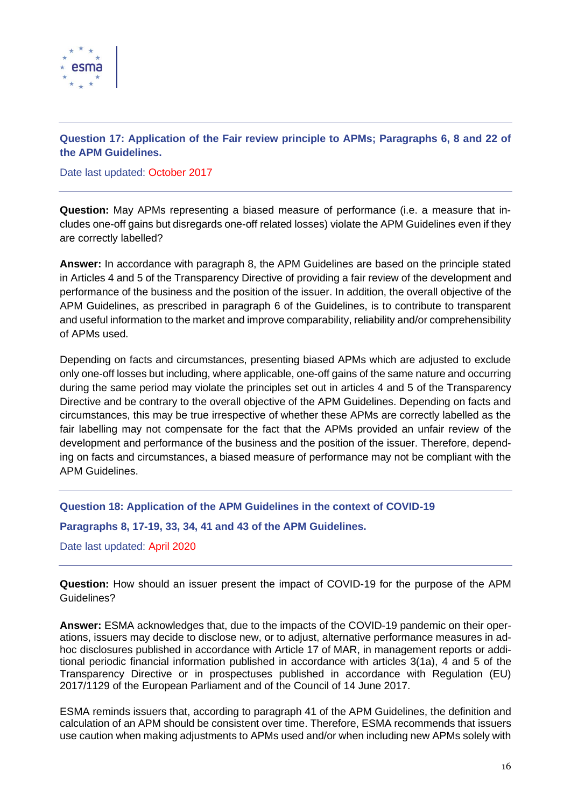

## <span id="page-15-0"></span>**Question 17: Application of the Fair review principle to APMs; Paragraphs 6, 8 and 22 of the APM Guidelines.**

Date last updated: October 2017

**Question:** May APMs representing a biased measure of performance (i.e. a measure that includes one-off gains but disregards one-off related losses) violate the APM Guidelines even if they are correctly labelled?

**Answer:** In accordance with paragraph 8, the APM Guidelines are based on the principle stated in Articles 4 and 5 of the Transparency Directive of providing a fair review of the development and performance of the business and the position of the issuer. In addition, the overall objective of the APM Guidelines, as prescribed in paragraph 6 of the Guidelines, is to contribute to transparent and useful information to the market and improve comparability, reliability and/or comprehensibility of APMs used.

Depending on facts and circumstances, presenting biased APMs which are adjusted to exclude only one-off losses but including, where applicable, one-off gains of the same nature and occurring during the same period may violate the principles set out in articles 4 and 5 of the Transparency Directive and be contrary to the overall objective of the APM Guidelines. Depending on facts and circumstances, this may be true irrespective of whether these APMs are correctly labelled as the fair labelling may not compensate for the fact that the APMs provided an unfair review of the development and performance of the business and the position of the issuer. Therefore, depending on facts and circumstances, a biased measure of performance may not be compliant with the APM Guidelines.

<span id="page-15-1"></span>**Question 18: Application of the APM Guidelines in the context of COVID-19**

**Paragraphs 8, 17-19, 33, 34, 41 and 43 of the APM Guidelines.**

Date last updated: April 2020

**Question:** How should an issuer present the impact of COVID-19 for the purpose of the APM Guidelines?

**Answer:** ESMA acknowledges that, due to the impacts of the COVID-19 pandemic on their operations, issuers may decide to disclose new, or to adjust, alternative performance measures in adhoc disclosures published in accordance with Article 17 of MAR, in management reports or additional periodic financial information published in accordance with articles 3(1a), 4 and 5 of the Transparency Directive or in prospectuses published in accordance with Regulation (EU) 2017/1129 of the European Parliament and of the Council of 14 June 2017.

ESMA reminds issuers that, according to paragraph 41 of the APM Guidelines, the definition and calculation of an APM should be consistent over time. Therefore, ESMA recommends that issuers use caution when making adjustments to APMs used and/or when including new APMs solely with